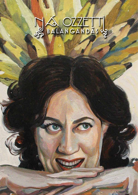## BRANGANDAS